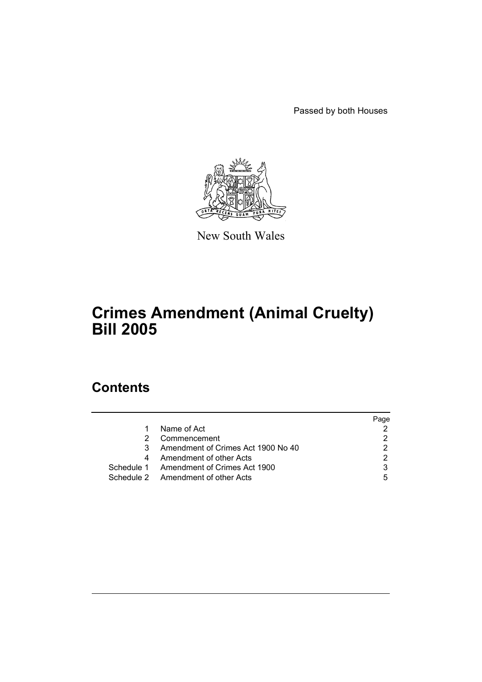Passed by both Houses



New South Wales

# **Crimes Amendment (Animal Cruelty) Bill 2005**

# **Contents**

|               |                                         | Page |
|---------------|-----------------------------------------|------|
| 1.            | Name of Act                             |      |
| 2.            | Commencement                            |      |
| $\mathcal{S}$ | Amendment of Crimes Act 1900 No 40      |      |
| 4             | Amendment of other Acts                 |      |
|               | Schedule 1 Amendment of Crimes Act 1900 |      |
|               | Schedule 2 Amendment of other Acts      | 5    |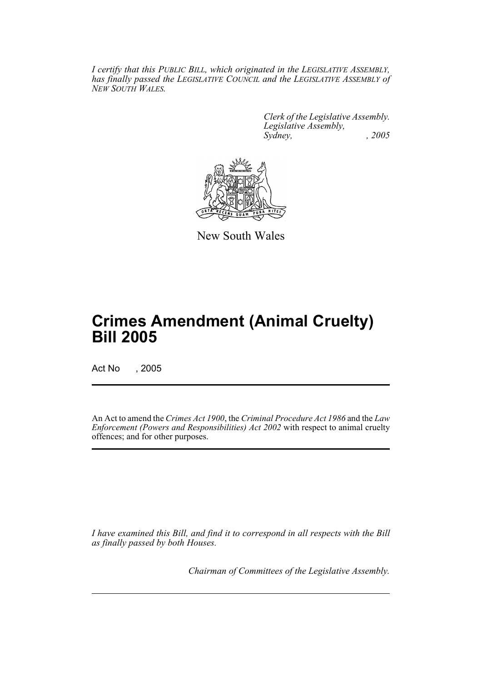*I certify that this PUBLIC BILL, which originated in the LEGISLATIVE ASSEMBLY, has finally passed the LEGISLATIVE COUNCIL and the LEGISLATIVE ASSEMBLY of NEW SOUTH WALES.*

> *Clerk of the Legislative Assembly. Legislative Assembly, Sydney, , 2005*



New South Wales

# **Crimes Amendment (Animal Cruelty) Bill 2005**

Act No , 2005

An Act to amend the *Crimes Act 1900*, the *Criminal Procedure Act 1986* and the *Law Enforcement (Powers and Responsibilities) Act 2002* with respect to animal cruelty offences; and for other purposes.

*I have examined this Bill, and find it to correspond in all respects with the Bill as finally passed by both Houses.*

*Chairman of Committees of the Legislative Assembly.*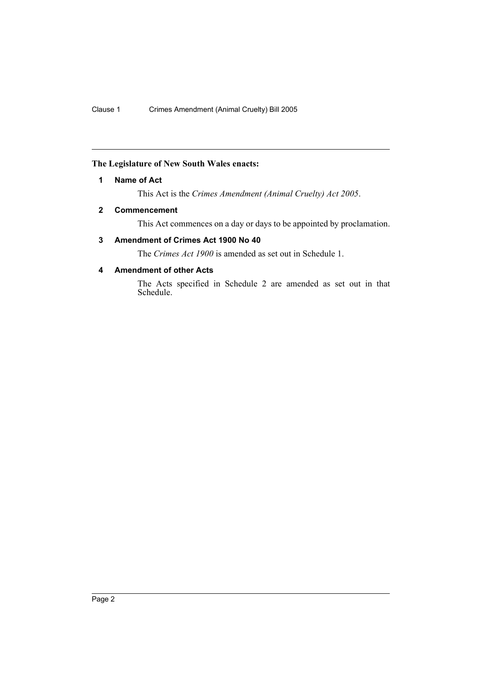### **The Legislature of New South Wales enacts:**

#### **1 Name of Act**

This Act is the *Crimes Amendment (Animal Cruelty) Act 2005*.

## **2 Commencement**

This Act commences on a day or days to be appointed by proclamation.

# **3 Amendment of Crimes Act 1900 No 40**

The *Crimes Act 1900* is amended as set out in Schedule 1.

## **4 Amendment of other Acts**

The Acts specified in Schedule 2 are amended as set out in that Schedule.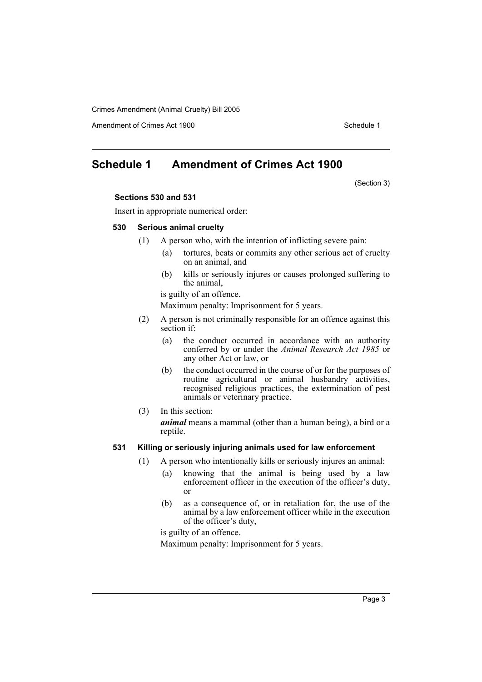Crimes Amendment (Animal Cruelty) Bill 2005

Amendment of Crimes Act 1900 Schedule 1

# **Schedule 1 Amendment of Crimes Act 1900**

(Section 3)

#### **Sections 530 and 531**

Insert in appropriate numerical order:

#### **530 Serious animal cruelty**

- (1) A person who, with the intention of inflicting severe pain:
	- (a) tortures, beats or commits any other serious act of cruelty on an animal, and
	- (b) kills or seriously injures or causes prolonged suffering to the animal,
	- is guilty of an offence.

Maximum penalty: Imprisonment for 5 years.

- (2) A person is not criminally responsible for an offence against this section if:
	- (a) the conduct occurred in accordance with an authority conferred by or under the *Animal Research Act 1985* or any other Act or law, or
	- (b) the conduct occurred in the course of or for the purposes of routine agricultural or animal husbandry activities, recognised religious practices, the extermination of pest animals or veterinary practice.

#### (3) In this section:

*animal* means a mammal (other than a human being), a bird or a reptile.

#### **531 Killing or seriously injuring animals used for law enforcement**

- (1) A person who intentionally kills or seriously injures an animal:
	- (a) knowing that the animal is being used by a law enforcement officer in the execution of the officer's duty, or
	- (b) as a consequence of, or in retaliation for, the use of the animal by a law enforcement officer while in the execution of the officer's duty,

is guilty of an offence.

Maximum penalty: Imprisonment for 5 years.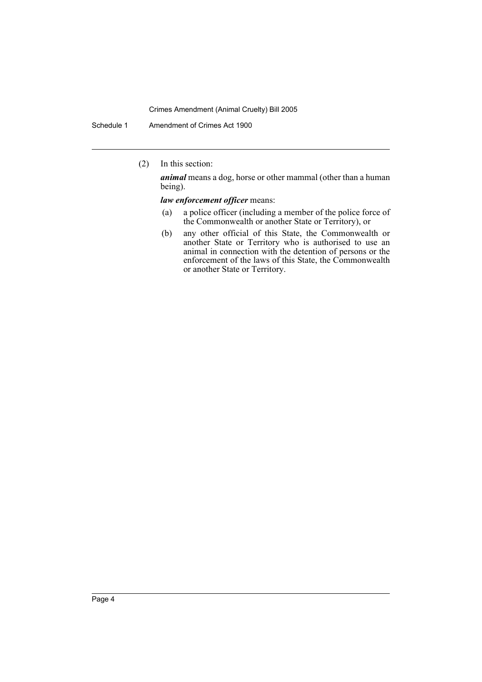#### Crimes Amendment (Animal Cruelty) Bill 2005

Schedule 1 Amendment of Crimes Act 1900

(2) In this section:

*animal* means a dog, horse or other mammal (other than a human being).

*law enforcement officer* means:

- (a) a police officer (including a member of the police force of the Commonwealth or another State or Territory), or
- (b) any other official of this State, the Commonwealth or another State or Territory who is authorised to use an animal in connection with the detention of persons or the enforcement of the laws of this State, the Commonwealth or another State or Territory.